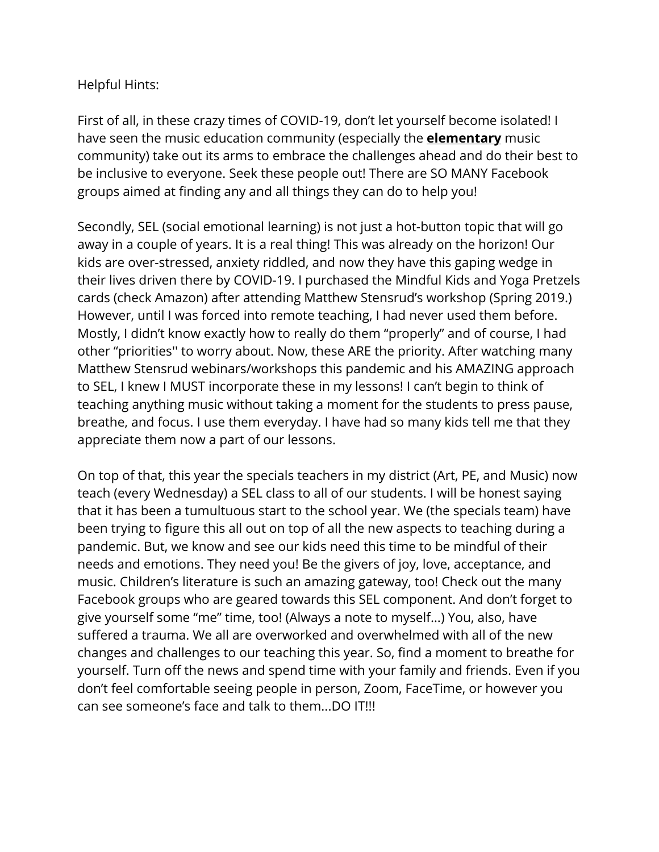## Helpful Hints:

First of all, in these crazy times of COVID-19, don't let yourself become isolated! I have seen the music education community (especially the **elementary** music community) take out its arms to embrace the challenges ahead and do their best to be inclusive to everyone. Seek these people out! There are SO MANY Facebook groups aimed at finding any and all things they can do to help you!

Secondly, SEL (social emotional learning) is not just a hot-button topic that will go away in a couple of years. It is a real thing! This was already on the horizon! Our kids are over-stressed, anxiety riddled, and now they have this gaping wedge in their lives driven there by COVID-19. I purchased the Mindful Kids and Yoga Pretzels cards (check Amazon) after attending Matthew Stensrud's workshop (Spring 2019.) However, until I was forced into remote teaching, I had never used them before. Mostly, I didn't know exactly how to really do them "properly" and of course, I had other "priorities'' to worry about. Now, these ARE the priority. After watching many Matthew Stensrud webinars/workshops this pandemic and his AMAZING approach to SEL, I knew I MUST incorporate these in my lessons! I can't begin to think of teaching anything music without taking a moment for the students to press pause, breathe, and focus. I use them everyday. I have had so many kids tell me that they appreciate them now a part of our lessons.

On top of that, this year the specials teachers in my district (Art, PE, and Music) now teach (every Wednesday) a SEL class to all of our students. I will be honest saying that it has been a tumultuous start to the school year. We (the specials team) have been trying to figure this all out on top of all the new aspects to teaching during a pandemic. But, we know and see our kids need this time to be mindful of their needs and emotions. They need you! Be the givers of joy, love, acceptance, and music. Children's literature is such an amazing gateway, too! Check out the many Facebook groups who are geared towards this SEL component. And don't forget to give yourself some "me" time, too! (Always a note to myself…) You, also, have suffered a trauma. We all are overworked and overwhelmed with all of the new changes and challenges to our teaching this year. So, find a moment to breathe for yourself. Turn off the news and spend time with your family and friends. Even if you don't feel comfortable seeing people in person, Zoom, FaceTime, or however you can see someone's face and talk to them...DO IT!!!